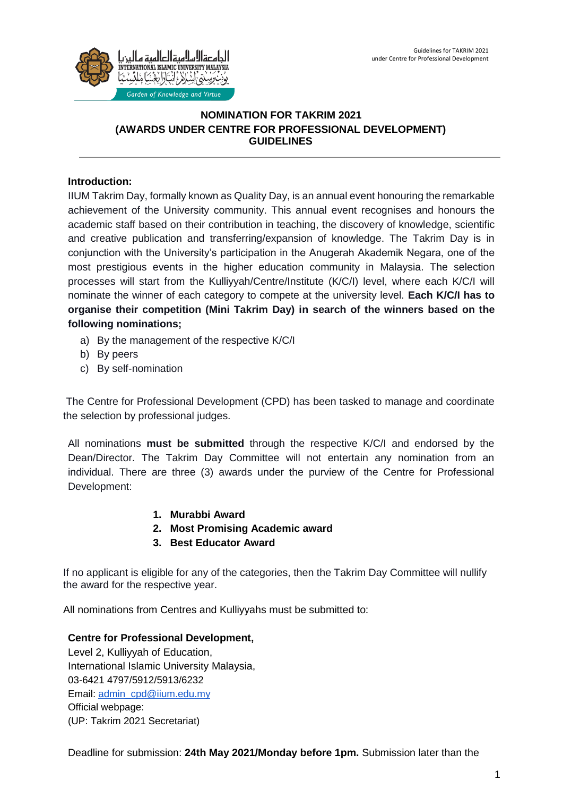

# **NOMINATION FOR TAKRIM 2021 (AWARDS UNDER CENTRE FOR PROFESSIONAL DEVELOPMENT) GUIDELINES**

# **Introduction:**

IIUM Takrim Day, formally known as Quality Day, is an annual event honouring the remarkable achievement of the University community. This annual event recognises and honours the academic staff based on their contribution in teaching, the discovery of knowledge, scientific and creative publication and transferring/expansion of knowledge. The Takrim Day is in conjunction with the University's participation in the Anugerah Akademik Negara, one of the most prestigious events in the higher education community in Malaysia. The selection processes will start from the Kulliyyah/Centre/Institute (K/C/I) level, where each K/C/I will nominate the winner of each category to compete at the university level. **Each K/C/I has to organise their competition (Mini Takrim Day) in search of the winners based on the following nominations;**

- a) By the management of the respective K/C/I
- b) By peers
- c) By self-nomination

The Centre for Professional Development (CPD) has been tasked to manage and coordinate the selection by professional judges.

All nominations **must be submitted** through the respective K/C/I and endorsed by the Dean/Director. The Takrim Day Committee will not entertain any nomination from an individual. There are three (3) awards under the purview of the Centre for Professional Development:

- **1. Murabbi Award**
- **2. Most Promising Academic award**
- **3. Best Educator Award**

If no applicant is eligible for any of the categories, then the Takrim Day Committee will nullify the award for the respective year.

All nominations from Centres and Kulliyyahs must be submitted to:

## **Centre for Professional Development,**

Level 2, Kulliyyah of Education, International Islamic University Malaysia, 03-6421 4797/5912/5913/6232 Email: [admin\\_cpd@iium.edu.my](mailto:admin_cpd@iium.edu.my) Official webpage: (UP: Takrim 2021 Secretariat)

Deadline for submission: **24th May 2021/Monday before 1pm.** Submission later than the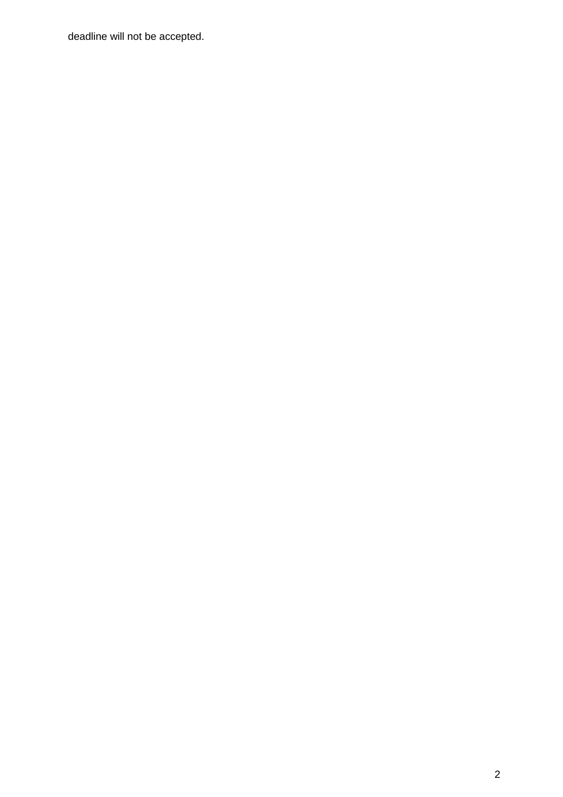deadline will not be accepted.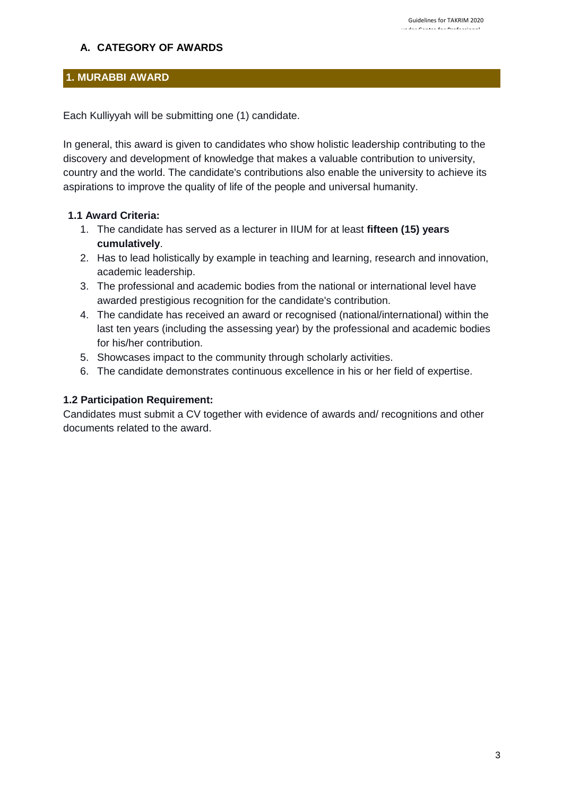# **A. CATEGORY OF AWARDS**

# **1. MURABBI AWARD**

Each Kulliyyah will be submitting one (1) candidate.

In general, this award is given to candidates who show holistic leadership contributing to the discovery and development of knowledge that makes a valuable contribution to university, country and the world. The candidate's contributions also enable the university to achieve its aspirations to improve the quality of life of the people and universal humanity.

## **1.1 Award Criteria:**

- 1. The candidate has served as a lecturer in IIUM for at least **fifteen (15) years cumulatively**.
- 2. Has to lead holistically by example in teaching and learning, research and innovation, academic leadership.
- 3. The professional and academic bodies from the national or international level have awarded prestigious recognition for the candidate's contribution.
- 4. The candidate has received an award or recognised (national/international) within the last ten years (including the assessing year) by the professional and academic bodies for his/her contribution.
- 5. Showcases impact to the community through scholarly activities.
- 6. The candidate demonstrates continuous excellence in his or her field of expertise.

### **1.2 Participation Requirement:**

Candidates must submit a CV together with evidence of awards and/ recognitions and other documents related to the award.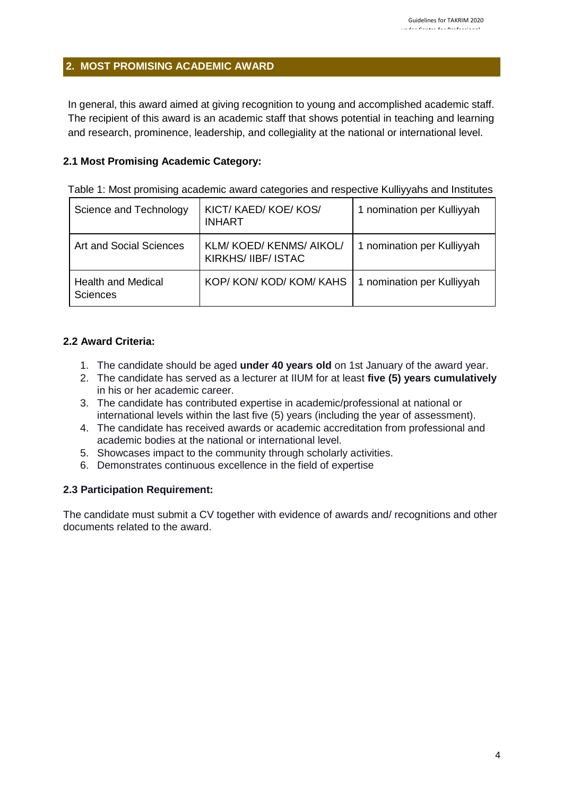### **2. MOST PROMISING ACADEMIC AWARD**

In general, this award aimed at giving recognition to young and accomplished academic staff. The recipient of this award is an academic staff that shows potential in teaching and learning and research, prominence, leadership, and collegiality at the national or international level.

### **2.1 Most Promising Academic Category:**

| Science and Technology                       | KICT/KAED/KOE/KOS/<br><b>INHART</b>          | 1 nomination per Kulliyyah |
|----------------------------------------------|----------------------------------------------|----------------------------|
| Art and Social Sciences                      | KLM/KOED/KENMS/AIKOL/<br>KIRKHS/ IIBF/ ISTAC | 1 nomination per Kulliyyah |
| <b>Health and Medical</b><br><b>Sciences</b> | KOP/KON/KOD/KOM/KAHS                         | 1 nomination per Kulliyyah |

Table 1: Most promising academic award categories and respective Kulliyyahs and Institutes

### **2.2 Award Criteria:**

- 1. The candidate should be aged **under 40 years old** on 1st January of the award year.
- 2. The candidate has served as a lecturer at IIUM for at least **five (5) years cumulatively**  in his or her academic career.
- 3. The candidate has contributed expertise in academic/professional at national or international levels within the last five (5) years (including the year of assessment).
- 4. The candidate has received awards or academic accreditation from professional and academic bodies at the national or international level.
- 5. Showcases impact to the community through scholarly activities.
- 6. Demonstrates continuous excellence in the field of expertise

### **2.3 Participation Requirement:**

The candidate must submit a CV together with evidence of awards and/ recognitions and other documents related to the award.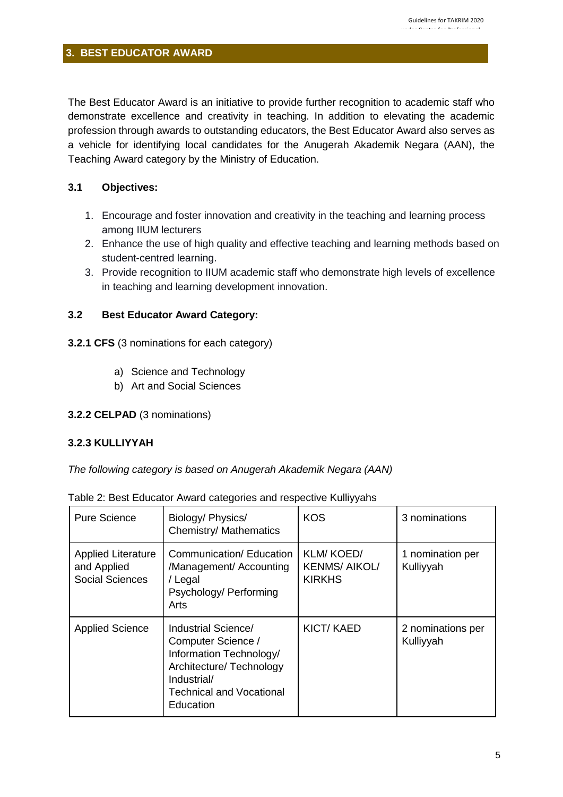# **3. BEST EDUCATOR AWARD**

The Best Educator Award is an initiative to provide further recognition to academic staff who demonstrate excellence and creativity in teaching. In addition to elevating the academic profession through awards to outstanding educators, the Best Educator Award also serves as a vehicle for identifying local candidates for the Anugerah Akademik Negara (AAN), the Teaching Award category by the Ministry of Education.

### **3.1 Objectives:**

- 1. Encourage and foster innovation and creativity in the teaching and learning process among IIUM lecturers
- 2. Enhance the use of high quality and effective teaching and learning methods based on student-centred learning.
- 3. Provide recognition to IIUM academic staff who demonstrate high levels of excellence in teaching and learning development innovation.

## **3.2 Best Educator Award Category:**

- **3.2.1 CFS** (3 nominations for each category)
	- a) Science and Technology
	- b) Art and Social Sciences

### **3.2.2 CELPAD** (3 nominations)

### **3.2.3 KULLIYYAH**

*The following category is based on Anugerah Akademik Negara (AAN)*

| <b>Pure Science</b>                                                | Biology/ Physics/<br><b>Chemistry/ Mathematics</b>                                                                                                              | <b>KOS</b>                                               | 3 nominations                  |
|--------------------------------------------------------------------|-----------------------------------------------------------------------------------------------------------------------------------------------------------------|----------------------------------------------------------|--------------------------------|
| <b>Applied Literature</b><br>and Applied<br><b>Social Sciences</b> | Communication/ Education<br>/Management/ Accounting<br>/ Legal<br>Psychology/ Performing<br>Arts                                                                | <b>KLM/KOED/</b><br><b>KENMS/AIKOL/</b><br><b>KIRKHS</b> | 1 nomination per<br>Kulliyyah  |
| <b>Applied Science</b>                                             | Industrial Science/<br>Computer Science /<br>Information Technology/<br>Architecture/ Technology<br>Industrial/<br><b>Technical and Vocational</b><br>Education | <b>KICT/ KAED</b>                                        | 2 nominations per<br>Kulliyyah |

Table 2: Best Educator Award categories and respective Kulliyyahs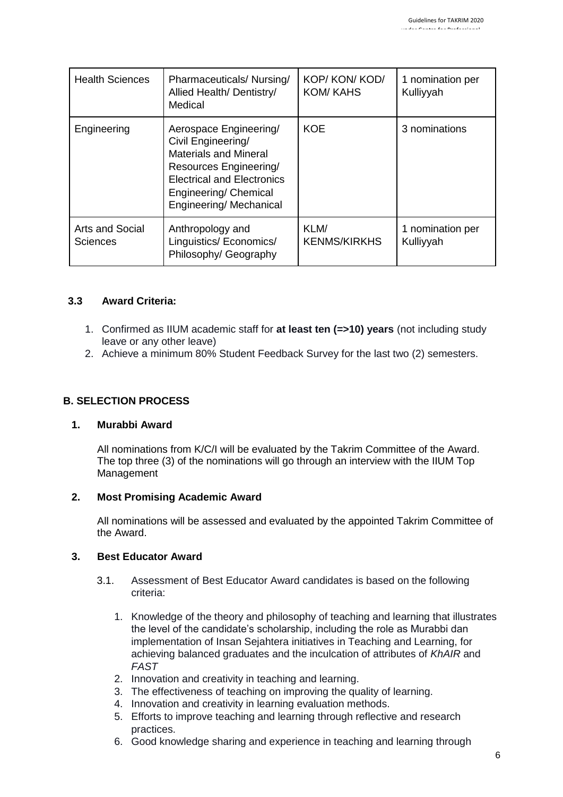| <b>Health Sciences</b>             | Pharmaceuticals/Nursing/<br>Allied Health/ Dentistry/<br>Medical                                                                                                                                | KOP/KON/KOD/<br><b>KOM/KAHS</b> | 1 nomination per<br>Kulliyyah |
|------------------------------------|-------------------------------------------------------------------------------------------------------------------------------------------------------------------------------------------------|---------------------------------|-------------------------------|
| Engineering                        | Aerospace Engineering/<br>Civil Engineering/<br><b>Materials and Mineral</b><br>Resources Engineering/<br><b>Electrical and Electronics</b><br>Engineering/ Chemical<br>Engineering/ Mechanical | <b>KOE</b>                      | 3 nominations                 |
| Arts and Social<br><b>Sciences</b> | Anthropology and<br>Linguistics/ Economics/<br>Philosophy/ Geography                                                                                                                            | KLM/<br><b>KENMS/KIRKHS</b>     | 1 nomination per<br>Kulliyyah |

## **3.3 Award Criteria:**

- 1. Confirmed as IIUM academic staff for **at least ten (=>10) years** (not including study leave or any other leave)
- 2. Achieve a minimum 80% Student Feedback Survey for the last two (2) semesters.

## **B. SELECTION PROCESS**

### **1. Murabbi Award**

All nominations from K/C/I will be evaluated by the Takrim Committee of the Award. The top three (3) of the nominations will go through an interview with the IIUM Top Management

### **2. Most Promising Academic Award**

All nominations will be assessed and evaluated by the appointed Takrim Committee of the Award.

### **3. Best Educator Award**

- 3.1. Assessment of Best Educator Award candidates is based on the following criteria:
	- 1. Knowledge of the theory and philosophy of teaching and learning that illustrates the level of the candidate's scholarship, including the role as Murabbi dan implementation of Insan Sejahtera initiatives in Teaching and Learning, for achieving balanced graduates and the inculcation of attributes of *KhAIR* and *FAST*
	- 2. Innovation and creativity in teaching and learning.
	- 3. The effectiveness of teaching on improving the quality of learning.
	- 4. Innovation and creativity in learning evaluation methods.
	- 5. Efforts to improve teaching and learning through reflective and research practices.
	- 6. Good knowledge sharing and experience in teaching and learning through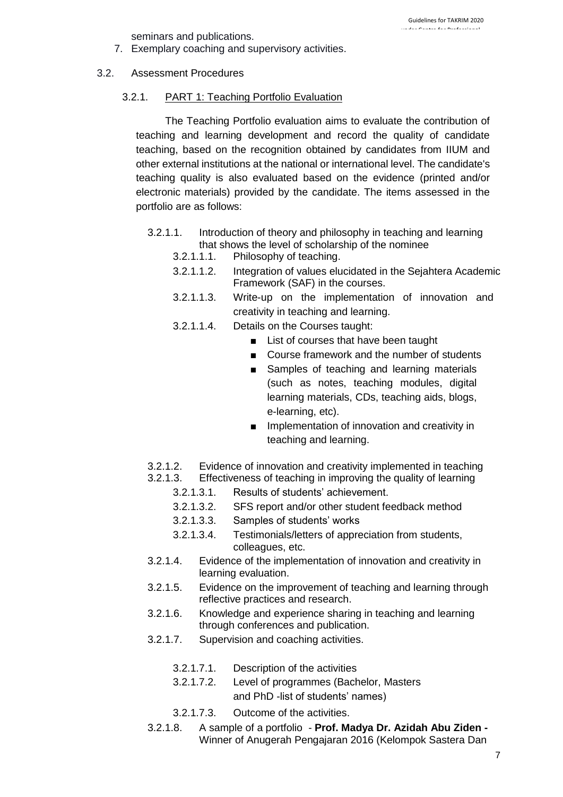seminars and publications.

7. Exemplary coaching and supervisory activities.

### 3.2. Assessment Procedures

### 3.2.1. PART 1: Teaching Portfolio Evaluation

The Teaching Portfolio evaluation aims to evaluate the contribution of teaching and learning development and record the quality of candidate teaching, based on the recognition obtained by candidates from IIUM and other external institutions at the national or international level. The candidate's teaching quality is also evaluated based on the evidence (printed and/or electronic materials) provided by the candidate. The items assessed in the portfolio are as follows:

- 3.2.1.1. Introduction of theory and philosophy in teaching and learning that shows the level of scholarship of the nominee
	- 3.2.1.1.1. Philosophy of teaching.
	- 3.2.1.1.2. Integration of values elucidated in the Sejahtera Academic Framework (SAF) in the courses.
	- 3.2.1.1.3. Write-up on the implementation of innovation and creativity in teaching and learning.
	- 3.2.1.1.4. Details on the Courses taught:
		- List of courses that have been taught
		- Course framework and the number of students
		- Samples of teaching and learning materials (such as notes, teaching modules, digital learning materials, CDs, teaching aids, blogs, e-learning, etc).
		- Implementation of innovation and creativity in teaching and learning.
- 3.2.1.2. Evidence of innovation and creativity implemented in teaching
- 3.2.1.3. Effectiveness of teaching in improving the quality of learning
	- 3.2.1.3.1. Results of students' achievement.
	- 3.2.1.3.2. SFS report and/or other student feedback method
	- 3.2.1.3.3. Samples of students' works
	- 3.2.1.3.4. Testimonials/letters of appreciation from students, colleagues, etc.
- 3.2.1.4. Evidence of the implementation of innovation and creativity in learning evaluation.
- 3.2.1.5. Evidence on the improvement of teaching and learning through reflective practices and research.
- 3.2.1.6. Knowledge and experience sharing in teaching and learning through conferences and publication.
- 3.2.1.7. Supervision and coaching activities.
	- 3.2.1.7.1. Description of the activities
	- 3.2.1.7.2. Level of programmes (Bachelor, Masters and PhD -list of students' names)
	- 3.2.1.7.3. Outcome of the activities.
- 3.2.1.8. A sample of a portfolio **Prof. Madya Dr. Azidah Abu Ziden**  Winner of Anugerah Pengajaran 2016 (Kelompok Sastera Dan